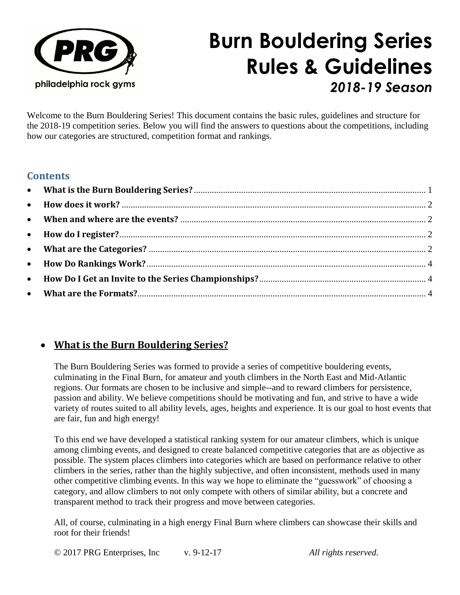

# **Burn Bouldering Series Rules & Guidelines** *2018-19 Season*

Welcome to the Burn Bouldering Series! This document contains the basic rules, guidelines and structure for the 2018-19 competition series. Below you will find the answers to questions about the competitions, including how our categories are structured, competition format and rankings.

## **Contents**

# <span id="page-0-0"></span>• **What is the Burn Bouldering Series?**

The Burn Bouldering Series was formed to provide a series of competitive bouldering events, culminating in the Final Burn, for amateur and youth climbers in the North East and Mid-Atlantic regions. Our formats are chosen to be inclusive and simple--and to reward climbers for persistence, passion and ability. We believe competitions should be motivating and fun, and strive to have a wide variety of routes suited to all ability levels, ages, heights and experience. It is our goal to host events that are fair, fun and high energy!

To this end we have developed a statistical ranking system for our amateur climbers, which is unique among climbing events, and designed to create balanced competitive categories that are as objective as possible. The system places climbers into categories which are based on performance relative to other climbers in the series, rather than the highly subjective, and often inconsistent, methods used in many other competitive climbing events. In this way we hope to eliminate the "guesswork" of choosing a category, and allow climbers to not only compete with others of similar ability, but a concrete and transparent method to track their progress and move between categories.

All, of course, culminating in a high energy Final Burn where climbers can showcase their skills and root for their friends!

© 2017 PRG Enterprises, Inc v. 9-12-17 *All rights reserved.*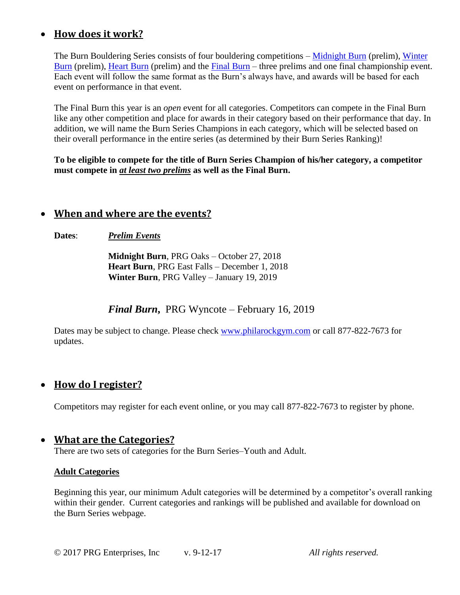## <span id="page-1-0"></span>• **How does it work?**

The Burn Bouldering Series consists of four bouldering competitions – [Midnight Burn](http://www.philarockgym.com/midnight-burn/) (prelim), [Winter](http://www.philarockgym.com/2015-winter-burn/)  [Burn](http://www.philarockgym.com/2015-winter-burn/) (prelim), [Heart Burn](http://www.philarockgym.com/2015-heart-burn/) (prelim) and the [Final](http://www.philarockgym.com/burn-series/) Burn – three prelims and one final championship event. Each event will follow the same format as the Burn's always have, and awards will be based for each event on performance in that event.

The Final Burn this year is an *open* event for all categories. Competitors can compete in the Final Burn like any other competition and place for awards in their category based on their performance that day. In addition, we will name the Burn Series Champions in each category, which will be selected based on their overall performance in the entire series (as determined by their Burn Series Ranking)!

**To be eligible to compete for the title of Burn Series Champion of his/her category, a competitor must compete in** *at least two prelims* **as well as the Final Burn.**

## <span id="page-1-1"></span>• **When and where are the events?**

**Dates**: *Prelim Events*

**Midnight Burn**, PRG Oaks – October 27, 2018 **Heart Burn**, PRG East Falls – December 1, 2018 **Winter Burn**, PRG Valley – January 19, 2019

*Final Burn***,** PRG Wyncote – February 16, 2019

Dates may be subject to change. Please check [www.philarockgym.com](file:///C:/Users/dradmin/Documents/Company/PRG/Collateral/COMPS/Burn%20Series/www.philarockgym.com) or call 877-822-7673 for updates.

## <span id="page-1-2"></span>• **How do I register?**

Competitors may register for each event online, or you may call 877-822-7673 to register by phone.

## <span id="page-1-3"></span>• **What are the Categories?**

There are two sets of categories for the Burn Series–Youth and Adult.

#### **Adult Categories**

Beginning this year, our minimum Adult categories will be determined by a competitor's overall ranking within their gender. Current categories and rankings will be published and available for download on the Burn Series webpage.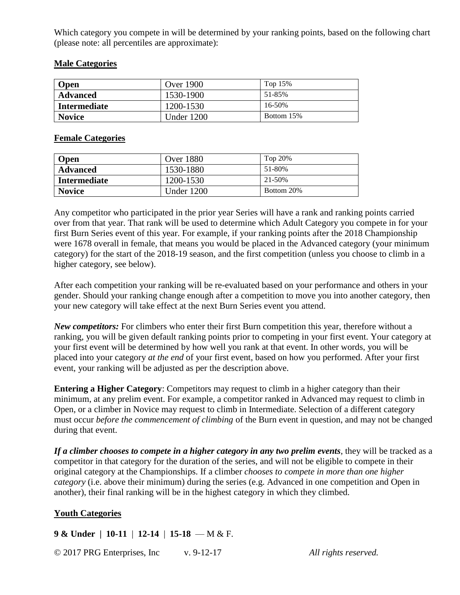Which category you compete in will be determined by your ranking points, based on the following chart (please note: all percentiles are approximate):

#### **Male Categories**

| <b>Open</b>         | <b>Over 1900</b> | Top $15%$  |
|---------------------|------------------|------------|
| <b>Advanced</b>     | 1530-1900        | 51-85%     |
| <b>Intermediate</b> | 1200-1530        | 16-50%     |
| <b>Novice</b>       | Under 1200       | Bottom 15% |

#### **Female Categories**

| <b>Open</b>         | <b>Over 1880</b> | Top $20\%$ |
|---------------------|------------------|------------|
| <b>Advanced</b>     | 1530-1880        | 51-80%     |
| <b>Intermediate</b> | 1200-1530        | 21-50%     |
| <b>Novice</b>       | Under 1200       | Bottom 20% |

Any competitor who participated in the prior year Series will have a rank and ranking points carried over from that year. That rank will be used to determine which Adult Category you compete in for your first Burn Series event of this year. For example, if your ranking points after the 2018 Championship were 1678 overall in female, that means you would be placed in the Advanced category (your minimum category) for the start of the 2018-19 season, and the first competition (unless you choose to climb in a higher category, see below).

After each competition your ranking will be re-evaluated based on your performance and others in your gender. Should your ranking change enough after a competition to move you into another category, then your new category will take effect at the next Burn Series event you attend.

*New competitors:* For climbers who enter their first Burn competition this year, therefore without a ranking, you will be given default ranking points prior to competing in your first event. Your category at your first event will be determined by how well you rank at that event. In other words, you will be placed into your category *at the end* of your first event, based on how you performed. After your first event, your ranking will be adjusted as per the description above.

**Entering a Higher Category:** Competitors may request to climb in a higher category than their minimum, at any prelim event. For example, a competitor ranked in Advanced may request to climb in Open, or a climber in Novice may request to climb in Intermediate. Selection of a different category must occur *before the commencement of climbing* of the Burn event in question, and may not be changed during that event.

*If a climber chooses to compete in a higher category in any two prelim events*, they will be tracked as a competitor in that category for the duration of the series, and will not be eligible to compete in their original category at the Championships. If a climber *chooses to compete in more than one higher category* (i.e. above their minimum) during the series (e.g. Advanced in one competition and Open in another), their final ranking will be in the highest category in which they climbed.

#### **Youth Categories**

**9 & Under | 10-11** | **12-14** | **15-18** — M & F.

© 2017 PRG Enterprises, Inc v. 9-12-17 *All rights reserved.*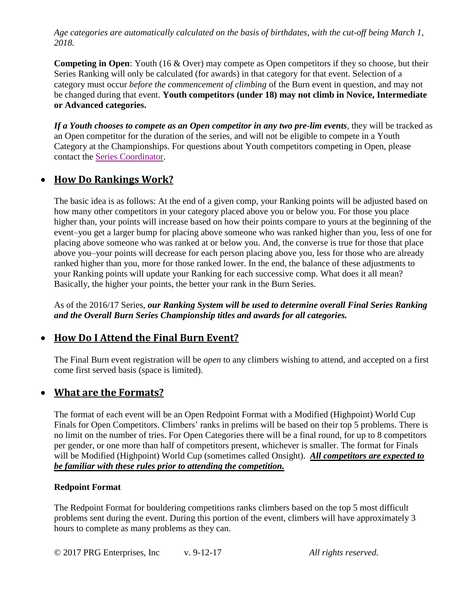*Age categories are automatically calculated on the basis of birthdates, with the cut-off being March 1, 2018.* 

**Competing in Open**: Youth (16 & Over) may compete as Open competitors if they so choose, but their Series Ranking will only be calculated (for awards) in that category for that event. Selection of a category must occur *before the commencement of climbing* of the Burn event in question, and may not be changed during that event. **Youth competitors (under 18) may not climb in Novice, Intermediate or Advanced categories.**

*If a Youth chooses to compete as an Open competitor in any two pre-lim events*, they will be tracked as an Open competitor for the duration of the series, and will not be eligible to compete in a Youth Category at the Championships. For questions about Youth competitors competing in Open, please contact the [Series Coordinator.](mailto:tmeehan@philarockgym.com?subject=Burn%20Series%20Question)

## <span id="page-3-0"></span>• **How Do Rankings Work?**

The basic idea is as follows: At the end of a given comp, your Ranking points will be adjusted based on how many other competitors in your category placed above you or below you. For those you place higher than, your points will increase based on how their points compare to yours at the beginning of the event–you get a larger bump for placing above someone who was ranked higher than you, less of one for placing above someone who was ranked at or below you. And, the converse is true for those that place above you–your points will decrease for each person placing above you, less for those who are already ranked higher than you, more for those ranked lower. In the end, the balance of these adjustments to your Ranking points will update your Ranking for each successive comp. What does it all mean? Basically, the higher your points, the better your rank in the Burn Series.

As of the 2016/17 Series, *our Ranking System will be used to determine overall Final Series Ranking and the Overall Burn Series Championship titles and awards for all categories.*

## <span id="page-3-1"></span>• **How Do I Attend the Final Burn Event?**

The Final Burn event registration will be *open* to any climbers wishing to attend, and accepted on a first come first served basis (space is limited).

## <span id="page-3-2"></span>• **What are the Formats?**

The format of each event will be an Open Redpoint Format with a Modified (Highpoint) World Cup Finals for Open Competitors. Climbers' ranks in prelims will be based on their top 5 problems. There is no limit on the number of tries. For Open Categories there will be a final round, for up to 8 competitors per gender, or one more than half of competitors present, whichever is smaller. The format for Finals will be Modified (Highpoint) World Cup (sometimes called Onsight). *All competitors are expected to be familiar with these rules prior to attending the competition.*

## **Redpoint Format**

The Redpoint Format for bouldering competitions ranks climbers based on the top 5 most difficult problems sent during the event. During this portion of the event, climbers will have approximately 3 hours to complete as many problems as they can.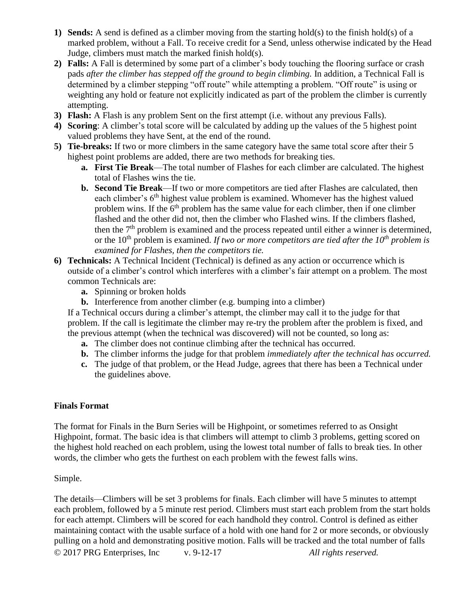- **1) Sends:** A send is defined as a climber moving from the starting hold(s) to the finish hold(s) of a marked problem, without a Fall. To receive credit for a Send, unless otherwise indicated by the Head Judge, climbers must match the marked finish hold(s).
- **2) Falls:** A Fall is determined by some part of a climber's body touching the flooring surface or crash pads *after the climber has stepped off the ground to begin climbing.* In addition, a Technical Fall is determined by a climber stepping "off route" while attempting a problem. "Off route" is using or weighting any hold or feature not explicitly indicated as part of the problem the climber is currently attempting.
- **3) Flash:** A Flash is any problem Sent on the first attempt (i.e. without any previous Falls).
- **4) Scoring**: A climber's total score will be calculated by adding up the values of the 5 highest point valued problems they have Sent, at the end of the round.
- **5) Tie-breaks:** If two or more climbers in the same category have the same total score after their 5 highest point problems are added, there are two methods for breaking ties.
	- **a. First Tie Break**—The total number of Flashes for each climber are calculated. The highest total of Flashes wins the tie.
	- **b. Second Tie Break**—If two or more competitors are tied after Flashes are calculated, then each climber's  $6<sup>th</sup>$  highest value problem is examined. Whomever has the highest valued problem wins. If the  $6<sup>th</sup>$  problem has the same value for each climber, then if one climber flashed and the other did not, then the climber who Flashed wins. If the climbers flashed, then the  $7<sup>th</sup>$  problem is examined and the process repeated until either a winner is determined, or the 10th problem is examined. *If two or more competitors are tied after the 10th problem is examined for Flashes, then the competitors tie.*
- **6) Technicals:** A Technical Incident (Technical) is defined as any action or occurrence which is outside of a climber's control which interferes with a climber's fair attempt on a problem. The most common Technicals are:
	- **a.** Spinning or broken holds
	- **b.** Interference from another climber (e.g. bumping into a climber)

If a Technical occurs during a climber's attempt, the climber may call it to the judge for that problem. If the call is legitimate the climber may re-try the problem after the problem is fixed, and the previous attempt (when the technical was discovered) will not be counted, so long as:

- **a.** The climber does not continue climbing after the technical has occurred.
- **b.** The climber informs the judge for that problem *immediately after the technical has occurred.*
- **c.** The judge of that problem, or the Head Judge, agrees that there has been a Technical under the guidelines above.

#### **Finals Format**

The format for Finals in the Burn Series will be Highpoint, or sometimes referred to as Onsight Highpoint, format. The basic idea is that climbers will attempt to climb 3 problems, getting scored on the highest hold reached on each problem, using the lowest total number of falls to break ties. In other words, the climber who gets the furthest on each problem with the fewest falls wins.

#### Simple.

© 2017 PRG Enterprises, Inc v. 9-12-17 *All rights reserved.* The details—Climbers will be set 3 problems for finals. Each climber will have 5 minutes to attempt each problem, followed by a 5 minute rest period. Climbers must start each problem from the start holds for each attempt. Climbers will be scored for each handhold they control. Control is defined as either maintaining contact with the usable surface of a hold with one hand for 2 or more seconds, or obviously pulling on a hold and demonstrating positive motion. Falls will be tracked and the total number of falls